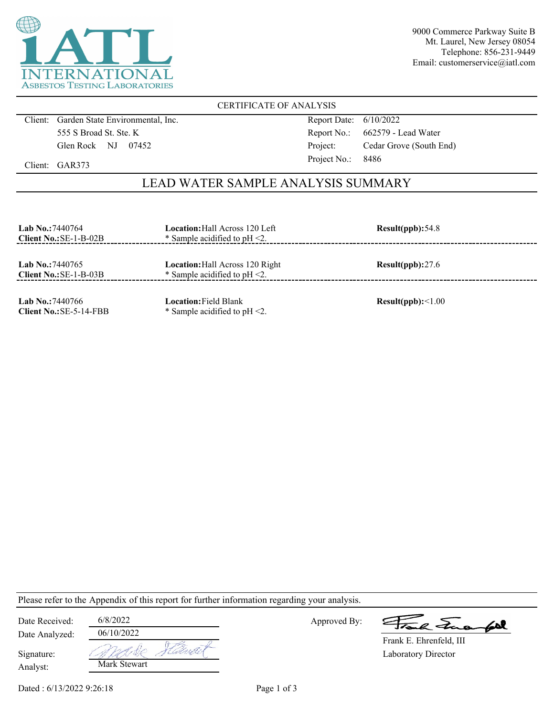

9000 Commerce Parkway Suite B Mt. Laurel, New Jersey 08054 Telephone: 856-231-9449 Email: customerservice@iatl.com

### CERTIFICATE OF ANALYSIS

Client: Garden State Environmental, Inc. 555 S Broad St. Ste. K Glen Rock NJ 07452

Report Date: 6/10/2022 Report No.: 662579 - Lead Water Project: Cedar Grove (South End) Project No.: 8486

Client: GAR373

## LEAD WATER SAMPLE ANALYSIS SUMMARY

| <b>Lab No.: 7440764</b><br>Client $No.:SE-1-B-02B$ | <b>Location:</b> Hall Across 120 Left<br>* Sample acidified to $pH < 2$ .  | Result(ppb): 54.8 |
|----------------------------------------------------|----------------------------------------------------------------------------|-------------------|
| Lab No.: 7440765<br>Client $No.:SE-1-B-03B$        | <b>Location:</b> Hall Across 120 Right<br>* Sample acidified to $pH < 2$ . | Result(ppb):27.6  |
| Lab No.:7440766<br>$Client No.:SE-5-14-FBB$        | <b>Location:</b> Field Blank<br>* Sample acidified to $pH < 2$ .           | Result(ppb):<1.00 |

Please refer to the Appendix of this report for further information regarding your analysis.

| Date Received: | 6/8/2022     |       |
|----------------|--------------|-------|
| Date Analyzed: | 06/10/2022   |       |
| Signature:     |              | ushr. |
| Analyst:       | Mark Stewart |       |

Approved By:

La Tua foll

Laboratory Director Frank E. Ehrenfeld, III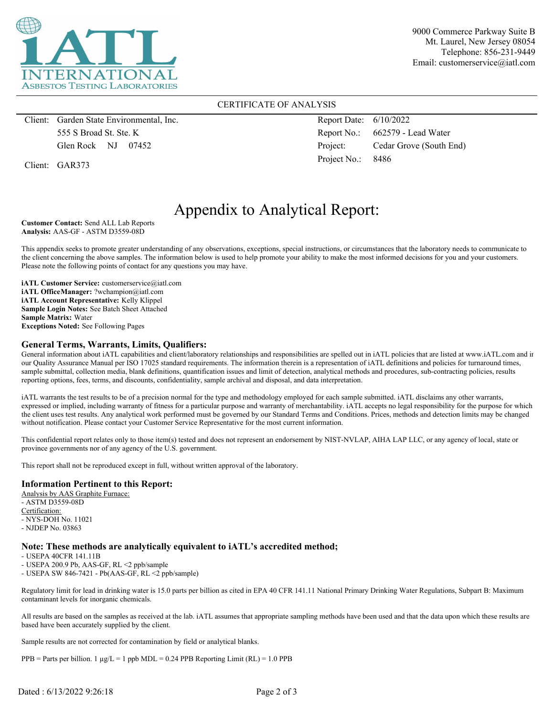

9000 Commerce Parkway Suite B Mt. Laurel, New Jersey 08054 Telephone: 856-231-9449 Email: customerservice@iatl.com

#### CERTIFICATE OF ANALYSIS

Client: Garden State Environmental, Inc. 555 S Broad St. Ste. K Glen Rock NJ 07452

Client: GAR373

Report Date: 6/10/2022 Report No.: 662579 - Lead Water Project: Cedar Grove (South End) Project No.: 8486

# Appendix to Analytical Report:

**Customer Contact:** Send ALL Lab Reports **Analysis:** AAS-GF - ASTM D3559-08D

This appendix seeks to promote greater understanding of any observations, exceptions, special instructions, or circumstances that the laboratory needs to communicate to the client concerning the above samples. The information below is used to help promote your ability to make the most informed decisions for you and your customers. Please note the following points of contact for any questions you may have.

**iATL Customer Service:** customerservice@iatl.com **iATL OfficeManager:** ?wchampion@iatl.com **iATL Account Representative:** Kelly Klippel **Sample Login Notes:** See Batch Sheet Attached **Sample Matrix:** Water **Exceptions Noted:** See Following Pages

#### **General Terms, Warrants, Limits, Qualifiers:**

General information about iATL capabilities and client/laboratory relationships and responsibilities are spelled out in iATL policies that are listed at www.iATL.com and in our Quality Assurance Manual per ISO 17025 standard requirements. The information therein is a representation of iATL definitions and policies for turnaround times, sample submittal, collection media, blank definitions, quantification issues and limit of detection, analytical methods and procedures, sub-contracting policies, results reporting options, fees, terms, and discounts, confidentiality, sample archival and disposal, and data interpretation.

iATL warrants the test results to be of a precision normal for the type and methodology employed for each sample submitted. iATL disclaims any other warrants, expressed or implied, including warranty of fitness for a particular purpose and warranty of merchantability. iATL accepts no legal responsibility for the purpose for which the client uses test results. Any analytical work performed must be governed by our Standard Terms and Conditions. Prices, methods and detection limits may be changed without notification. Please contact your Customer Service Representative for the most current information.

This confidential report relates only to those item(s) tested and does not represent an endorsement by NIST-NVLAP, AIHA LAP LLC, or any agency of local, state or province governments nor of any agency of the U.S. government.

This report shall not be reproduced except in full, without written approval of the laboratory.

#### **Information Pertinent to this Report:**

Analysis by AAS Graphite Furnace: - ASTM D3559-08D Certification: - NYS-DOH No. 11021 - NJDEP No. 03863

#### **Note: These methods are analytically equivalent to iATL's accredited method;**

- USEPA 40CFR 141.11B

- USEPA 200.9 Pb, AAS-GF, RL <2 ppb/sample

- USEPA SW 846-7421 - Pb(AAS-GF, RL <2 ppb/sample)

Regulatory limit for lead in drinking water is 15.0 parts per billion as cited in EPA 40 CFR 141.11 National Primary Drinking Water Regulations, Subpart B: Maximum contaminant levels for inorganic chemicals.

All results are based on the samples as received at the lab. iATL assumes that appropriate sampling methods have been used and that the data upon which these results are based have been accurately supplied by the client.

Sample results are not corrected for contamination by field or analytical blanks.

 $PPB =$  Parts per billion. 1  $\mu g/L = 1$  ppb MDL = 0.24 PPB Reporting Limit (RL) = 1.0 PPB